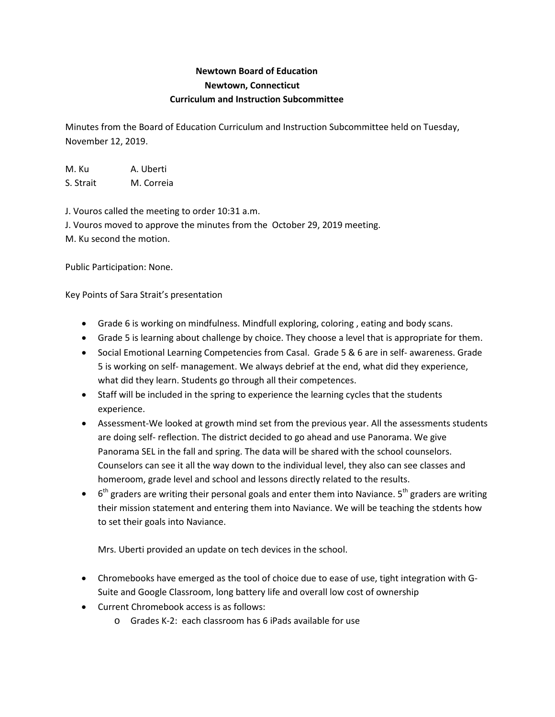## **Newtown Board of Education Newtown, Connecticut Curriculum and Instruction Subcommittee**

Minutes from the Board of Education Curriculum and Instruction Subcommittee held on Tuesday, November 12, 2019.

M. Ku A. Uberti S. Strait M. Correia

J. Vouros called the meeting to order 10:31 a.m. J. Vouros moved to approve the minutes from the October 29, 2019 meeting. M. Ku second the motion.

Public Participation: None.

Key Points of Sara Strait's presentation

- Grade 6 is working on mindfulness. Mindfull exploring, coloring , eating and body scans.
- Grade 5 is learning about challenge by choice. They choose a level that is appropriate for them.
- Social Emotional Learning Competencies from Casal. Grade 5 & 6 are in self- awareness. Grade 5 is working on self- management. We always debrief at the end, what did they experience, what did they learn. Students go through all their competences.
- Staff will be included in the spring to experience the learning cycles that the students experience.
- Assessment-We looked at growth mind set from the previous year. All the assessments students are doing self- reflection. The district decided to go ahead and use Panorama. We give Panorama SEL in the fall and spring. The data will be shared with the school counselors. Counselors can see it all the way down to the individual level, they also can see classes and homeroom, grade level and school and lessons directly related to the results.
- $6<sup>th</sup>$  graders are writing their personal goals and enter them into Naviance.  $5<sup>th</sup>$  graders are writing their mission statement and entering them into Naviance. We will be teaching the stdents how to set their goals into Naviance.

Mrs. Uberti provided an update on tech devices in the school.

- Chromebooks have emerged as the tool of choice due to ease of use, tight integration with G-Suite and Google Classroom, long battery life and overall low cost of ownership
- Current Chromebook access is as follows:
	- o Grades K-2: each classroom has 6 iPads available for use